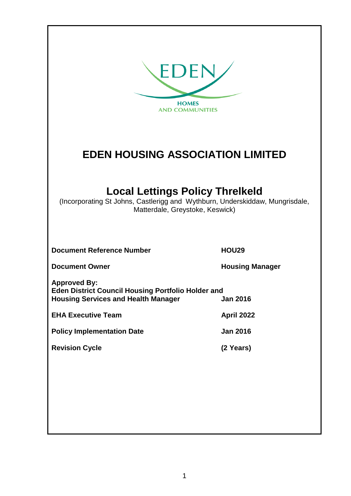| <b>EDEN</b><br><b>HOMES</b><br><b>AND COMMUNITIES</b>                                                                                                     |                        |  |  |
|-----------------------------------------------------------------------------------------------------------------------------------------------------------|------------------------|--|--|
| <b>EDEN HOUSING ASSOCIATION LIMITED</b>                                                                                                                   |                        |  |  |
| <b>Local Lettings Policy Threlkeld</b><br>(Incorporating St Johns, Castlerigg and Wythburn, Underskiddaw, Mungrisdale,<br>Matterdale, Greystoke, Keswick) |                        |  |  |
| <b>Document Reference Number</b>                                                                                                                          | <b>HOU29</b>           |  |  |
| <b>Document Owner</b>                                                                                                                                     | <b>Housing Manager</b> |  |  |
| <b>Approved By:</b><br><b>Eden District Council Housing Portfolio Holder and</b><br><b>Housing Services and Health Manager</b><br><b>Jan 2016</b>         |                        |  |  |
| <b>EHA Executive Team</b>                                                                                                                                 | April 2022             |  |  |
| <b>Policy Implementation Date</b>                                                                                                                         | <b>Jan 2016</b>        |  |  |
| <b>Revision Cycle</b>                                                                                                                                     | (2 Years)              |  |  |
|                                                                                                                                                           |                        |  |  |
|                                                                                                                                                           |                        |  |  |
|                                                                                                                                                           |                        |  |  |
|                                                                                                                                                           |                        |  |  |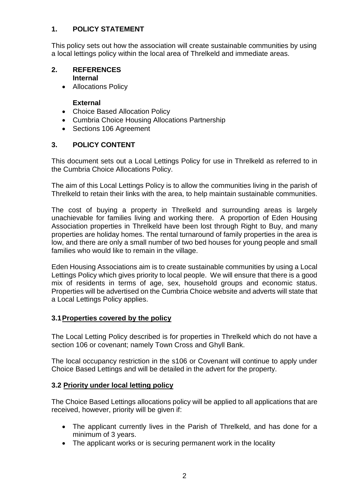#### **1. POLICY STATEMENT**

This policy sets out how the association will create sustainable communities by using a local lettings policy within the local area of Threlkeld and immediate areas.

#### **2. REFERENCES Internal**

• Allocations Policy

#### **External**

- Choice Based Allocation Policy
- Cumbria Choice Housing Allocations Partnership
- Sections 106 Agreement

## **3. POLICY CONTENT**

This document sets out a Local Lettings Policy for use in Threlkeld as referred to in the Cumbria Choice Allocations Policy.

The aim of this Local Lettings Policy is to allow the communities living in the parish of Threlkeld to retain their links with the area, to help maintain sustainable communities.

The cost of buying a property in Threlkeld and surrounding areas is largely unachievable for families living and working there. A proportion of Eden Housing Association properties in Threlkeld have been lost through Right to Buy, and many properties are holiday homes. The rental turnaround of family properties in the area is low, and there are only a small number of two bed houses for young people and small families who would like to remain in the village.

Eden Housing Associations aim is to create sustainable communities by using a Local Lettings Policy which gives priority to local people. We will ensure that there is a good mix of residents in terms of age, sex, household groups and economic status. Properties will be advertised on the Cumbria Choice website and adverts will state that a Local Lettings Policy applies.

#### **3.1Properties covered by the policy**

The Local Letting Policy described is for properties in Threlkeld which do not have a section 106 or covenant; namely Town Cross and Ghyll Bank.

The local occupancy restriction in the s106 or Covenant will continue to apply under Choice Based Lettings and will be detailed in the advert for the property.

#### **3.2 Priority under local letting policy**

The Choice Based Lettings allocations policy will be applied to all applications that are received, however, priority will be given if:

- The applicant currently lives in the Parish of Threlkeld, and has done for a minimum of 3 years.
- The applicant works or is securing permanent work in the locality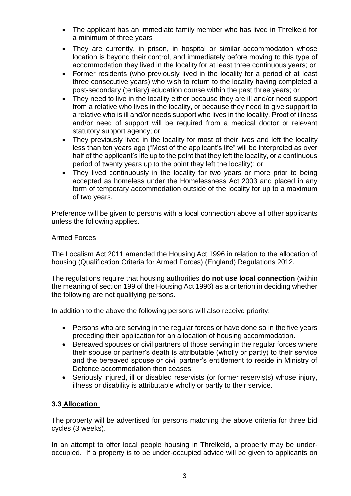- The applicant has an immediate family member who has lived in Threlkeld for a minimum of three years
- They are currently, in prison, in hospital or similar accommodation whose location is beyond their control, and immediately before moving to this type of accommodation they lived in the locality for at least three continuous years; or
- Former residents (who previously lived in the locality for a period of at least three consecutive years) who wish to return to the locality having completed a post-secondary (tertiary) education course within the past three years; or
- They need to live in the locality either because they are ill and/or need support from a relative who lives in the locality, or because they need to give support to a relative who is ill and/or needs support who lives in the locality. Proof of illness and/or need of support will be required from a medical doctor or relevant statutory support agency; or
- They previously lived in the locality for most of their lives and left the locality less than ten years ago ("Most of the applicant's life" will be interpreted as over half of the applicant's life up to the point that they left the locality, or a continuous period of twenty years up to the point they left the locality); or
- They lived continuously in the locality for two years or more prior to being accepted as homeless under the Homelessness Act 2003 and placed in any form of temporary accommodation outside of the locality for up to a maximum of two years.

Preference will be given to persons with a local connection above all other applicants unless the following applies.

#### Armed Forces

The Localism Act 2011 amended the Housing Act 1996 in relation to the allocation of housing (Qualification Criteria for Armed Forces) (England) Regulations 2012.

The regulations require that housing authorities **do not use local connection** (within the meaning of section 199 of the Housing Act 1996) as a criterion in deciding whether the following are not qualifying persons.

In addition to the above the following persons will also receive priority;

- Persons who are serving in the regular forces or have done so in the five years preceding their application for an allocation of housing accommodation.
- Bereaved spouses or civil partners of those serving in the regular forces where their spouse or partner's death is attributable (wholly or partly) to their service and the bereaved spouse or civil partner's entitlement to reside in Ministry of Defence accommodation then ceases;
- Seriously injured, ill or disabled reservists (or former reservists) whose injury, illness or disability is attributable wholly or partly to their service.

#### **3.3 Allocation**

The property will be advertised for persons matching the above criteria for three bid cycles (3 weeks).

In an attempt to offer local people housing in Threlkeld, a property may be underoccupied. If a property is to be under-occupied advice will be given to applicants on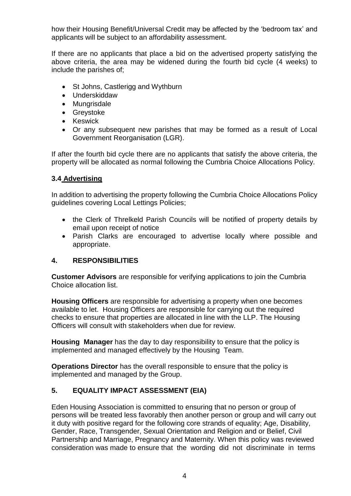how their Housing Benefit/Universal Credit may be affected by the 'bedroom tax' and applicants will be subject to an affordability assessment.

If there are no applicants that place a bid on the advertised property satisfying the above criteria, the area may be widened during the fourth bid cycle (4 weeks) to include the parishes of;

- St Johns, Castlerigg and Wythburn
- Underskiddaw
- Mungrisdale
- Greystoke
- Keswick
- Or any subsequent new parishes that may be formed as a result of Local Government Reorganisation (LGR).

If after the fourth bid cycle there are no applicants that satisfy the above criteria, the property will be allocated as normal following the Cumbria Choice Allocations Policy.

#### **3.4 Advertising**

In addition to advertising the property following the Cumbria Choice Allocations Policy guidelines covering Local Lettings Policies;

- the Clerk of Threlkeld Parish Councils will be notified of property details by email upon receipt of notice
- Parish Clarks are encouraged to advertise locally where possible and appropriate.

#### **4. RESPONSIBILITIES**

**Customer Advisors** are responsible for verifying applications to join the Cumbria Choice allocation list.

**Housing Officers** are responsible for advertising a property when one becomes available to let. Housing Officers are responsible for carrying out the required checks to ensure that properties are allocated in line with the LLP. The Housing Officers will consult with stakeholders when due for review.

**Housing Manager** has the day to day responsibility to ensure that the policy is implemented and managed effectively by the Housing Team.

**Operations Director** has the overall responsible to ensure that the policy is implemented and managed by the Group.

#### **5. EQUALITY IMPACT ASSESSMENT (EIA)**

Eden Housing Association is committed to ensuring that no person or group of persons will be treated less favorably then another person or group and will carry out it duty with positive regard for the following core strands of equality; Age, Disability, Gender, Race, Transgender, Sexual Orientation and Religion and or Belief, Civil Partnership and Marriage, Pregnancy and Maternity. When this policy was reviewed consideration was made to ensure that the wording did not discriminate in terms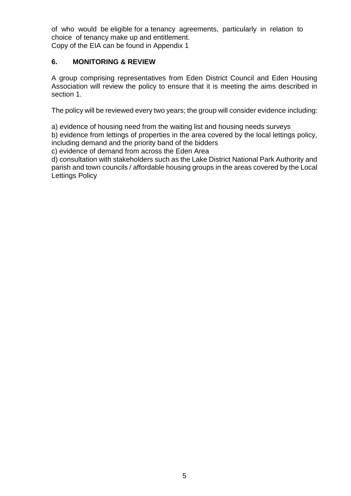of who would be eligible for a tenancy agreements, particularly in relation to choice of tenancy make up and entitlement.

# Copy of the EIA can be found in Appendix 1

## **6. MONITORING & REVIEW**

A group comprising representatives from Eden District Council and Eden Housing Association will review the policy to ensure that it is meeting the aims described in section 1.

The policy will be reviewed every two years; the group will consider evidence including:

a) evidence of housing need from the waiting list and housing needs surveys

b) evidence from lettings of properties in the area covered by the local lettings policy, including demand and the priority band of the bidders

c) evidence of demand from across the Eden Area

d) consultation with stakeholders such as the Lake District National Park Authority and parish and town councils / affordable housing groups in the areas covered by the Local Lettings Policy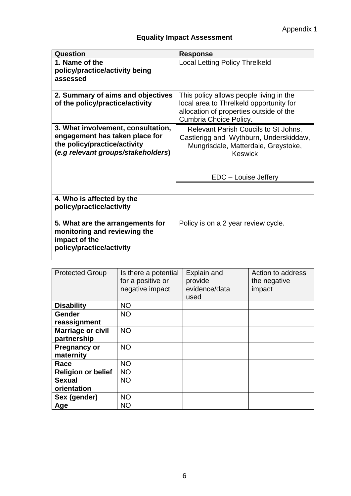# **Equality Impact Assessment**

| Question                                                                                                                                   | <b>Response</b>                                                                                                                                                 |
|--------------------------------------------------------------------------------------------------------------------------------------------|-----------------------------------------------------------------------------------------------------------------------------------------------------------------|
| 1. Name of the<br>policy/practice/activity being<br>assessed                                                                               | <b>Local Letting Policy Threlkeld</b>                                                                                                                           |
| 2. Summary of aims and objectives<br>of the policy/practice/activity                                                                       | This policy allows people living in the<br>local area to Threlkeld opportunity for<br>allocation of properties outside of the<br>Cumbria Choice Policy.         |
| 3. What involvement, consultation,<br>engagement has taken place for<br>the policy/practice/activity<br>(e.g relevant groups/stakeholders) | Relevant Parish Coucils to St Johns,<br>Castlerigg and Wythburn, Underskiddaw,<br>Mungrisdale, Matterdale, Greystoke,<br><b>Keswick</b><br>EDC - Louise Jeffery |
| 4. Who is affected by the<br>policy/practice/activity                                                                                      |                                                                                                                                                                 |
| 5. What are the arrangements for<br>monitoring and reviewing the<br>impact of the<br>policy/practice/activity                              | Policy is on a 2 year review cycle.                                                                                                                             |

| <b>Protected Group</b>    | Is there a potential<br>for a positive or<br>negative impact | Explain and<br>provide<br>evidence/data<br>used | Action to address<br>the negative<br>impact |
|---------------------------|--------------------------------------------------------------|-------------------------------------------------|---------------------------------------------|
| <b>Disability</b>         | <b>NO</b>                                                    |                                                 |                                             |
| <b>Gender</b>             | <b>NO</b>                                                    |                                                 |                                             |
| reassignment              |                                                              |                                                 |                                             |
| <b>Marriage or civil</b>  | <b>NO</b>                                                    |                                                 |                                             |
| partnership               |                                                              |                                                 |                                             |
| <b>Pregnancy or</b>       | <b>NO</b>                                                    |                                                 |                                             |
| maternity                 |                                                              |                                                 |                                             |
| Race                      | <b>NO</b>                                                    |                                                 |                                             |
| <b>Religion or belief</b> | <b>NO</b>                                                    |                                                 |                                             |
| <b>Sexual</b>             | <b>NO</b>                                                    |                                                 |                                             |
| orientation               |                                                              |                                                 |                                             |
| Sex (gender)              | <b>NO</b>                                                    |                                                 |                                             |
| Age                       | <b>NO</b>                                                    |                                                 |                                             |